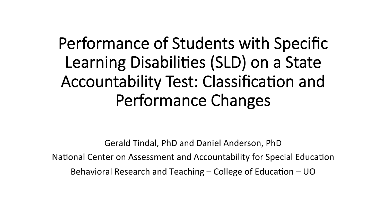## Performance of Students with Specific Learning Disabilities (SLD) on a State Accountability Test: Classification and Performance Changes

Gerald Tindal, PhD and Daniel Anderson, PhD National Center on Assessment and Accountability for Special Education Behavioral Research and Teaching  $-$  College of Education  $-$  UO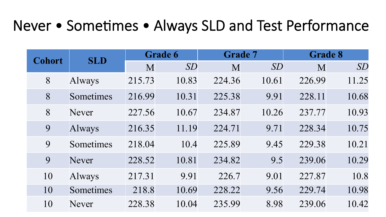#### Never • Sometimes • Always SLD and Test Performance

| <b>Cohort</b> | <b>SLD</b>   | <b>Grade 6</b> |       | <b>Grade 7</b> |       | <b>Grade 8</b> |       |
|---------------|--------------|----------------|-------|----------------|-------|----------------|-------|
|               |              | M              | SD    | M              | SD    | M              | SD    |
| 8             | Always       | 215.73         | 10.83 | 224.36         | 10.61 | 226.99         | 11.25 |
| 8             | Sometimes    | 216.99         | 10.31 | 225.38         | 9.91  | 228.11         | 10.68 |
| 8             | Never        | 227.56         | 10.67 | 234.87         | 10.26 | 237.77         | 10.93 |
| 9             | Always       | 216.35         | 11.19 | 224.71         | 9.71  | 228.34         | 10.75 |
| 9             | Sometimes    | 218.04         | 10.4  | 225.89         | 9.45  | 229.38         | 10.21 |
| 9             | <b>Never</b> | 228.52         | 10.81 | 234.82         | 9.5   | 239.06         | 10.29 |
| 10            | Always       | 217.31         | 9.91  | 226.7          | 9.01  | 227.87         | 10.8  |
| 10            | Sometimes    | 218.8          | 10.69 | 228.22         | 9.56  | 229.74         | 10.98 |
| 10            | Never        | 228.38         | 10.04 | 235.99         | 8.98  | 239.06         | 10.42 |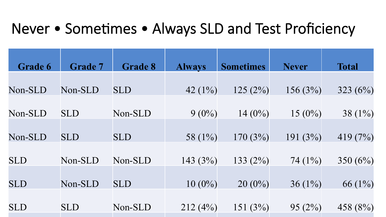#### Never • Sometimes • Always SLD and Test Proficiency

| <b>Grade 6</b> | <b>Grade 7</b> | <b>Grade 8</b> | <b>Always</b> | <b>Sometimes</b> | <b>Never</b> | <b>Total</b> |
|----------------|----------------|----------------|---------------|------------------|--------------|--------------|
|                |                |                |               |                  |              |              |
| Non-SLD        | Non-SLD        | <b>SLD</b>     | 42 $(1\%)$    | 125(2%)          | 156 $(3%)$   | 323 $(6%)$   |
|                |                |                |               |                  |              |              |
| Non-SLD        | <b>SLD</b>     | Non-SLD        | $9(0\%)$      | $14(0\%)$        | $15(0\%)$    | 38 $(1\%)$   |
|                |                |                |               |                  |              |              |
| Non-SLD        | <b>SLD</b>     | <b>SLD</b>     | 58 $(1\%)$    | 170(3%)          | 191(3%)      | 419 $(7%)$   |
|                |                |                |               |                  |              |              |
| <b>SLD</b>     | Non-SLD        | Non-SLD        | 143 $(3%)$    | 133 $(2%)$       | 74 $(1\%)$   | 350 $(6\%)$  |
|                |                |                |               |                  |              |              |
| <b>SLD</b>     | Non-SLD        | <b>SLD</b>     | $10(0\%)$     | $20(0\%)$        | $36(1\%)$    | 66 $(1\%)$   |
|                |                |                |               |                  |              |              |
| <b>SLD</b>     | <b>SLD</b>     | Non-SLD        | 212(4%)       | 151 $(3%)$       | 95(2%)       | 458 $(8%)$   |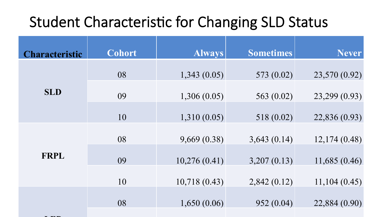#### Student Characteristic for Changing SLD Status

| <b>Characteristic</b> | <b>Cohort</b> | <b>Always</b> | <b>Sometimes</b> | <b>Never</b>  |
|-----------------------|---------------|---------------|------------------|---------------|
|                       | 08            | 1,343(0.05)   | 573 (0.02)       | 23,570 (0.92) |
| <b>SLD</b>            | 09            | 1,306(0.05)   | 563 $(0.02)$     | 23,299 (0.93) |
|                       | 10            | 1,310(0.05)   | 518 (0.02)       | 22,836 (0.93) |
|                       | 08            | 9,669(0.38)   | 3,643(0.14)      | 12,174(0.48)  |
| <b>FRPL</b>           | 09            | 10,276(0.41)  | 3,207(0.13)      | 11,685(0.46)  |
|                       | 10            | 10,718(0.43)  | 2,842(0.12)      | 11,104(0.45)  |
|                       | 08            | 1,650(0.06)   | 952(0.04)        | 22,884 (0.90) |
|                       |               |               |                  |               |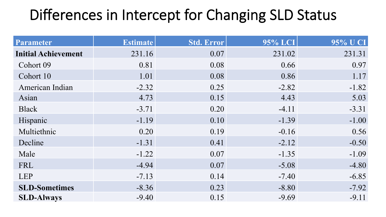### Differences in Intercept for Changing SLD Status

| <b>Parameter</b>           | <b>Estimate</b> | Std. Error | 95% LCI | 95% U CI |
|----------------------------|-----------------|------------|---------|----------|
| <b>Initial Achievement</b> | 231.16          | 0.07       | 231.02  | 231.31   |
| Cohort 09                  | 0.81            | 0.08       | 0.66    | 0.97     |
| Cohort 10                  | 1.01            | 0.08       | 0.86    | 1.17     |
| American Indian            | $-2.32$         | 0.25       | $-2.82$ | $-1.82$  |
| Asian                      | 4.73            | 0.15       | 4.43    | 5.03     |
| <b>Black</b>               | $-3.71$         | 0.20       | $-4.11$ | $-3.31$  |
| Hispanic                   | $-1.19$         | 0.10       | $-1.39$ | $-1.00$  |
| Multiethnic                | 0.20            | 0.19       | $-0.16$ | 0.56     |
| Decline                    | $-1.31$         | 0.41       | $-2.12$ | $-0.50$  |
| Male                       | $-1.22$         | 0.07       | $-1.35$ | $-1.09$  |
| FRL                        | $-4.94$         | 0.07       | $-5.08$ | $-4.80$  |
| <b>LEP</b>                 | $-7.13$         | 0.14       | $-7.40$ | $-6.85$  |
| <b>SLD-Sometimes</b>       | $-8.36$         | 0.23       | $-8.80$ | $-7.92$  |
| <b>SLD-Always</b>          | $-9.40$         | 0.15       | $-9.69$ | $-9.11$  |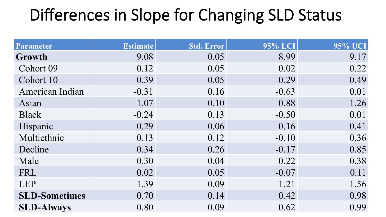## Differences in Slope for Changing SLD Status

| Parameter            | <b>Estimate</b> | Std. Error | 95% LCI | 95% UCI |
|----------------------|-----------------|------------|---------|---------|
| Growth               | 9.08            | 0.05       | 8.99    | 9.17    |
| Cohort 09            | 0.12            | 0.05       | 0.02    | 0.22    |
| Cohort 10            | 0.39            | 0.05       | 0.29    | 0.49    |
| American Indian      | $-0.31$         | 0.16       | $-0.63$ | 0.01    |
| Asian                | 1.07            | 0.10       | 0.88    | 1.26    |
| <b>Black</b>         | $-0.24$         | 0.13       | $-0.50$ | 0.01    |
| Hispanic             | 0.29            | 0.06       | 0.16    | 0.41    |
| Multiethnic          | 0.13            | 0.12       | $-0.10$ | 0.36    |
| Decline              | 0.34            | 0.26       | $-0.17$ | 0.85    |
| Male                 | 0.30            | 0.04       | 0.22    | 0.38    |
| FRL                  | 0.02            | 0.05       | $-0.07$ | 0.11    |
| <b>LEP</b>           | 1.39            | 0.09       | 1.21    | 1.56    |
| <b>SLD-Sometimes</b> | 0.70            | 0.14       | 0.42    | 0.98    |
| <b>SLD-Always</b>    | 0.80            | 0.09       | 0.62    | 0.99    |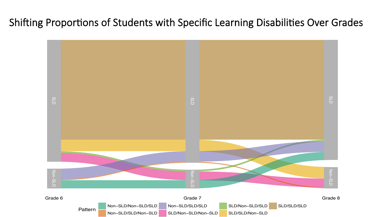Shifting Proportions of Students with Specific Learning Disabilities Over Grades

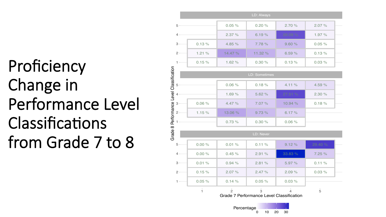Proficiency Change in Performance Level Classifications from Grade 7 to 8

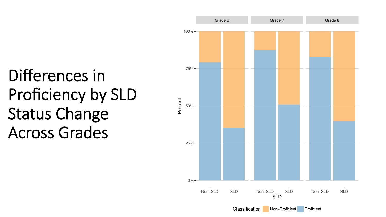# Differences in Proficiency by SLD Status Change Across Grades